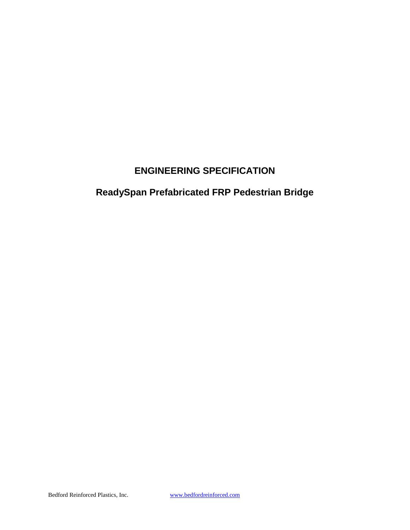## **ENGINEERING SPECIFICATION**

# **ReadySpan Prefabricated FRP Pedestrian Bridge**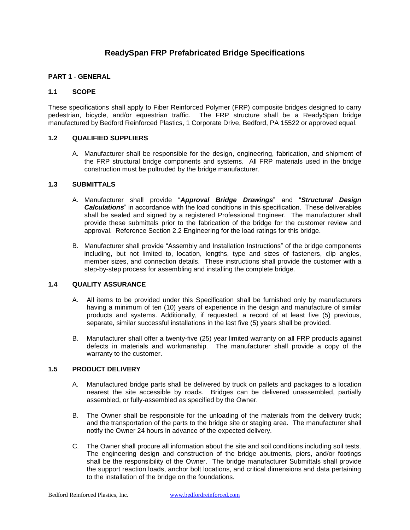### **ReadySpan FRP Prefabricated Bridge Specifications**

#### **PART 1 - GENERAL**

#### **1.1 SCOPE**

These specifications shall apply to Fiber Reinforced Polymer (FRP) composite bridges designed to carry pedestrian, bicycle, and/or equestrian traffic. The FRP structure shall be a ReadySpan bridge manufactured by Bedford Reinforced Plastics, 1 Corporate Drive, Bedford, PA 15522 or approved equal.

#### **1.2 QUALIFIED SUPPLIERS**

A. Manufacturer shall be responsible for the design, engineering, fabrication, and shipment of the FRP structural bridge components and systems. All FRP materials used in the bridge construction must be pultruded by the bridge manufacturer.

#### **1.3 SUBMITTALS**

- A. Manufacturer shall provide "*Approval Bridge Drawings*" and "*Structural Design Calculations*" in accordance with the load conditions in this specification. These deliverables shall be sealed and signed by a registered Professional Engineer. The manufacturer shall provide these submittals prior to the fabrication of the bridge for the customer review and approval. Reference Section 2.2 Engineering for the load ratings for this bridge.
- B. Manufacturer shall provide "Assembly and Installation Instructions" of the bridge components including, but not limited to, location, lengths, type and sizes of fasteners, clip angles, member sizes, and connection details. These instructions shall provide the customer with a step-by-step process for assembling and installing the complete bridge.

#### **1.4 QUALITY ASSURANCE**

- A. All items to be provided under this Specification shall be furnished only by manufacturers having a minimum of ten (10) years of experience in the design and manufacture of similar products and systems. Additionally, if requested, a record of at least five (5) previous, separate, similar successful installations in the last five (5) years shall be provided.
- B. Manufacturer shall offer a twenty-five (25) year limited warranty on all FRP products against defects in materials and workmanship. The manufacturer shall provide a copy of the warranty to the customer.

#### **1.5 PRODUCT DELIVERY**

- A. Manufactured bridge parts shall be delivered by truck on pallets and packages to a location nearest the site accessible by roads. Bridges can be delivered unassembled, partially assembled, or fully-assembled as specified by the Owner.
- B. The Owner shall be responsible for the unloading of the materials from the delivery truck; and the transportation of the parts to the bridge site or staging area. The manufacturer shall notify the Owner 24 hours in advance of the expected delivery.
- C. The Owner shall procure all information about the site and soil conditions including soil tests. The engineering design and construction of the bridge abutments, piers, and/or footings shall be the responsibility of the Owner. The bridge manufacturer Submittals shall provide the support reaction loads, anchor bolt locations, and critical dimensions and data pertaining to the installation of the bridge on the foundations.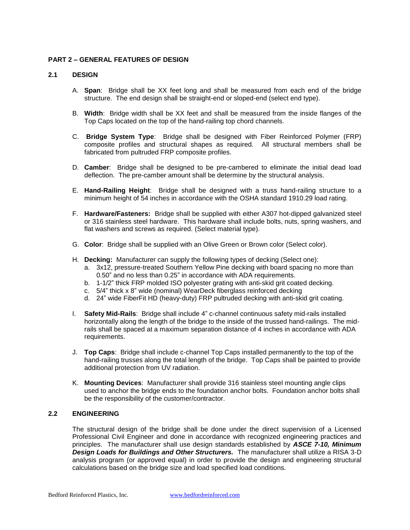#### **PART 2 – GENERAL FEATURES OF DESIGN**

#### **2.1 DESIGN**

- A. **Span**: Bridge shall be XX feet long and shall be measured from each end of the bridge structure. The end design shall be straight-end or sloped-end (select end type).
- B. **Width**: Bridge width shall be XX feet and shall be measured from the inside flanges of the Top Caps located on the top of the hand-railing top chord channels.
- C. **Bridge System Type**: Bridge shall be designed with Fiber Reinforced Polymer (FRP) composite profiles and structural shapes as required. All structural members shall be fabricated from pultruded FRP composite profiles.
- D. **Camber**: Bridge shall be designed to be pre-cambered to eliminate the initial dead load deflection. The pre-camber amount shall be determine by the structural analysis.
- E. **Hand-Railing Height**: Bridge shall be designed with a truss hand-railing structure to a minimum height of 54 inches in accordance with the OSHA standard 1910.29 load rating.
- F. **Hardware/Fasteners:** Bridge shall be supplied with either A307 hot-dipped galvanized steel or 316 stainless steel hardware. This hardware shall include bolts, nuts, spring washers, and flat washers and screws as required. (Select material type).
- G. **Color**: Bridge shall be supplied with an Olive Green or Brown color (Select color).
- H. **Decking:** Manufacturer can supply the following types of decking (Select one):
	- a. 3x12, pressure-treated Southern Yellow Pine decking with board spacing no more than 0.50" and no less than 0.25" in accordance with ADA requirements.
	- b. 1-1/2" thick FRP molded ISO polyester grating with anti-skid grit coated decking.
	- c. 5/4" thick x 8" wide (nominal) WearDeck fiberglass reinforced decking
	- d. 24" wide FiberFit HD (heavy-duty) FRP pultruded decking with anti-skid grit coating.
- I. **Safety Mid-Rails**: Bridge shall include 4" c-channel continuous safety mid-rails installed horizontally along the length of the bridge to the inside of the trussed hand-railings. The midrails shall be spaced at a maximum separation distance of 4 inches in accordance with ADA requirements.
- J. **Top Caps**: Bridge shall include c-channel Top Caps installed permanently to the top of the hand-railing trusses along the total length of the bridge. Top Caps shall be painted to provide additional protection from UV radiation.
- K. **Mounting Devices**: Manufacturer shall provide 316 stainless steel mounting angle clips used to anchor the bridge ends to the foundation anchor bolts. Foundation anchor bolts shall be the responsibility of the customer/contractor.

#### **2.2 ENGINEERING**

The structural design of the bridge shall be done under the direct supervision of a Licensed Professional Civil Engineer and done in accordance with recognized engineering practices and principles. The manufacturer shall use design standards established by *ASCE 7-10, Minimum Design Loads for Buildings and Other Structurers.* The manufacturer shall utilize a RISA 3-D analysis program (or approved equal) in order to provide the design and engineering structural calculations based on the bridge size and load specified load conditions.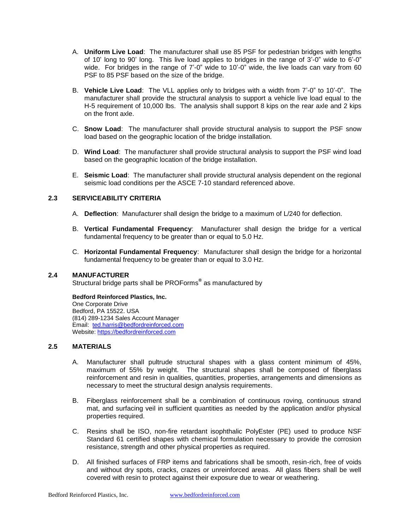- A. **Uniform Live Load**: The manufacturer shall use 85 PSF for pedestrian bridges with lengths of 10' long to 90' long. This live load applies to bridges in the range of 3'-0" wide to 6'-0" wide. For bridges in the range of 7'-0" wide to 10'-0" wide, the live loads can vary from 60 PSF to 85 PSF based on the size of the bridge.
- B. **Vehicle Live Load**: The VLL applies only to bridges with a width from 7'-0" to 10'-0". The manufacturer shall provide the structural analysis to support a vehicle live load equal to the H-5 requirement of 10,000 lbs. The analysis shall support 8 kips on the rear axle and 2 kips on the front axle.
- C. **Snow Load**: The manufacturer shall provide structural analysis to support the PSF snow load based on the geographic location of the bridge installation.
- D. **Wind Load**: The manufacturer shall provide structural analysis to support the PSF wind load based on the geographic location of the bridge installation.
- E. **Seismic Load**: The manufacturer shall provide structural analysis dependent on the regional seismic load conditions per the ASCE 7-10 standard referenced above.

#### **2.3 SERVICEABILITY CRITERIA**

- A. **Deflection**: Manufacturer shall design the bridge to a maximum of L/240 for deflection.
- B. **Vertical Fundamental Frequency**: Manufacturer shall design the bridge for a vertical fundamental frequency to be greater than or equal to 5.0 Hz.
- C. **Horizontal Fundamental Frequency**: Manufacturer shall design the bridge for a horizontal fundamental frequency to be greater than or equal to 3.0 Hz.

#### **2.4 MANUFACTURER**

Structural bridge parts shall be PROForms**®** as manufactured by

**Bedford Reinforced Plastics, Inc.** One Corporate Drive Bedford, PA 15522. USA (814) 289-1234 Sales Account Manager Email: [ted.harris@bedfordreinforced.com](mailto:ted.harris@bedfordreinforced.com) Website[: https://bedfordreinforced.com](https://bedfordreinforced.com/)

#### **2.5 MATERIALS**

- A. Manufacturer shall pultrude structural shapes with a glass content minimum of 45%, maximum of 55% by weight. The structural shapes shall be composed of fiberglass reinforcement and resin in qualities, quantities, properties, arrangements and dimensions as necessary to meet the structural design analysis requirements.
- B. Fiberglass reinforcement shall be a combination of continuous roving, continuous strand mat, and surfacing veil in sufficient quantities as needed by the application and/or physical properties required.
- C. Resins shall be ISO, non-fire retardant isophthalic PolyEster (PE) used to produce NSF Standard 61 certified shapes with chemical formulation necessary to provide the corrosion resistance, strength and other physical properties as required.
- D. All finished surfaces of FRP items and fabrications shall be smooth, resin-rich, free of voids and without dry spots, cracks, crazes or unreinforced areas. All glass fibers shall be well covered with resin to protect against their exposure due to wear or weathering.